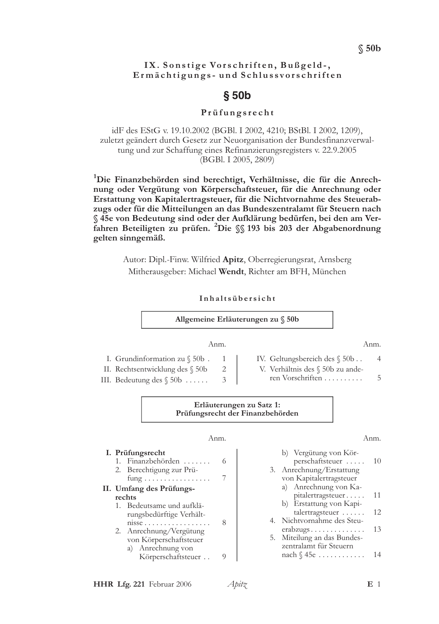#### IX. Sonstige Vorschriften, Bußgeld-, Ermächtigungs- und Schlussvorschriften

# $§50b$

#### Prüfungsrecht

idF des EStG v. 19.10.2002 (BGBl. I 2002, 4210; BStBl. I 2002, 1209), zuletzt geändert durch Gesetz zur Neuorganisation der Bundesfinanzverwaltung und zur Schaffung eines Refinanzierungsregisters v. 22.9.2005 (BGBI, I 2005, 2809)

<sup>1</sup>Die Finanzbehörden sind berechtigt, Verhältnisse, die für die Anrechnung oder Vergütung von Körperschaftsteuer, für die Anrechnung oder Erstattung von Kapitalertragsteuer, für die Nichtvornahme des Steuerabzugs oder für die Mitteilungen an das Bundeszentralamt für Steuern nach § 45e von Bedeutung sind oder der Aufklärung bedürfen, bei den am Verfahren Beteiligten zu prüfen. <sup>2</sup>Die §§ 193 bis 203 der Abgabenordnung gelten sinngemäß.

> Autor: Dipl.-Finw. Wilfried Apitz, Oberregierungsrat, Arnsberg Mitherausgeber: Michael Wendt, Richter am BFH, München

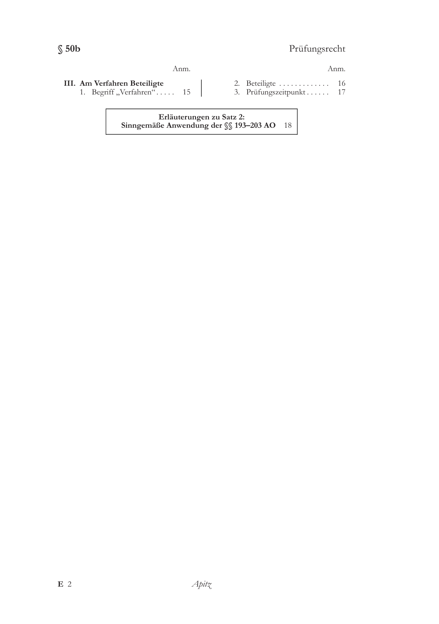# Prüfungsrecht

#### Anm.

## Anm.

- III. Am Verfahren Beteiligte
	- 1. Begriff "Verfahren"..... 15
- 2. Beteiligte ............. 16 3. Prüfungszeitpunkt...... 17

Erläuterungen zu Satz 2: Sinngemäße Anwendung der §§ 193-203 AO 18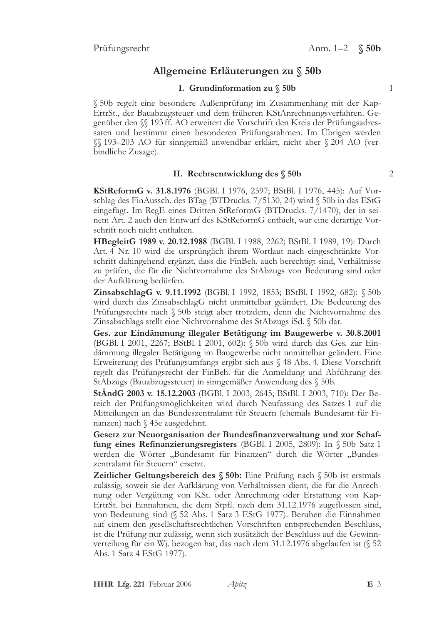# Allgemeine Erläuterungen zu  $\S$  50b

## I. Grundinformation zu § 50b

§ 50b regelt eine besondere Außenprüfung im Zusammenhang mit der Kap-ErtrSt., der Bauabzugsteuer und dem früheren KStAnrechnungsverfahren. Gegenüber den  $\S$  193 ff. AO erweitert die Vorschrift den Kreis der Prüfungsadressaten und bestimmt einen besonderen Prüfungsrahmen. Im Übrigen werden §§ 193-203 AO für sinngemäß anwendbar erklärt, nicht aber § 204 AO (verbindliche Zusage).

## II. Rechtsentwicklung des § 50b

KStReformG v. 31.8.1976 (BGBl. I 1976, 2597; BStBl. I 1976, 445): Auf Vorschlag des FinAussch. des BTag (BTDrucks. 7/5130, 24) wird § 50b in das EStG eingefügt. Im RegE eines Dritten StReformG (BTDrucks. 7/1470), der in seinem Art. 2 auch den Entwurf des KStReformG enthielt, war eine derartige Vorschrift noch nicht enthalten.

HBegleitG 1989 v. 20.12.1988 (BGBl. I 1988, 2262; BStBl. I 1989, 19): Durch Art. 4 Nr. 10 wird die ursprünglich ihrem Wortlaut nach eingeschränkte Vorschrift dahingehend ergänzt, dass die FinBeh. auch berechtigt sind, Verhältnisse zu prüfen, die für die Nichtvornahme des StAbzugs von Bedeutung sind oder der Aufklärung bedürfen.

**ZinsabschlagG** v. 9.11.1992 (BGBl. I 1992, 1853; BStBl. I 1992, 682):  $\$50b$ wird durch das ZinsabschlagG nicht unmittelbar geändert. Die Bedeutung des Prüfungsrechts nach § 50b steigt aber trotzdem, denn die Nichtvornahme des Zinsabschlags stellt eine Nichtvornahme des StAbzugs iSd. § 50b dar.

Ges. zur Eindämmung illegaler Betätigung im Baugewerbe v. 30.8.2001 (BGBl. I 2001, 2267; BStBl. I 2001, 602): § 50b wird durch das Ges. zur Eindämmung illegaler Betätigung im Baugewerbe nicht unmittelbar geändert. Eine Erweiterung des Prüfungsumfangs ergibt sich aus § 48 Abs. 4. Diese Vorschrift regelt das Prüfungsrecht der FinBeh. für die Anmeldung und Abführung des StAbzugs (Bauabzugssteuer) in sinngemäßer Anwendung des § 50b.

StÄndG 2003 v. 15.12.2003 (BGBl. I 2003, 2645; BStBl. I 2003, 710): Der Bereich der Prüfungsmöglichkeiten wird durch Neufassung des Satzes 1 auf die Mitteilungen an das Bundeszentralamt für Steuern (ehemals Bundesamt für Finanzen) nach § 45e ausgedehnt.

Gesetz zur Neuorganisation der Bundesfinanzverwaltung und zur Schaffung eines Refinanzierungsregisters (BGBl. I 2005, 2809): In  $\S$  50b Satz 1 werden die Wörter "Bundesamt für Finanzen" durch die Wörter "Bundeszentralamt für Steuern" ersetzt.

Zeitlicher Geltungsbereich des § 50b: Eine Prüfung nach § 50b ist erstmals zulässig, soweit sie der Aufklärung von Verhältnissen dient, die für die Anrechnung oder Vergütung von KSt. oder Anrechnung oder Erstattung von Kap-ErtrSt. bei Einnahmen, die dem Stpfl. nach dem 31.12.1976 zugeflossen sind, von Bedeutung sind (§ 52 Abs. 1 Satz 3 EStG 1977). Beruhen die Einnahmen auf einem den gesellschaftsrechtlichen Vorschriften entsprechenden Beschluss, ist die Prüfung nur zulässig, wenn sich zusätzlich der Beschluss auf die Gewinnverteilung für ein Wj. bezogen hat, das nach dem 31.12.1976 abgelaufen ist (§ 52 Abs. 1 Satz 4 EStG 1977).

 $\overline{2}$ 

 $\mathbf{1}$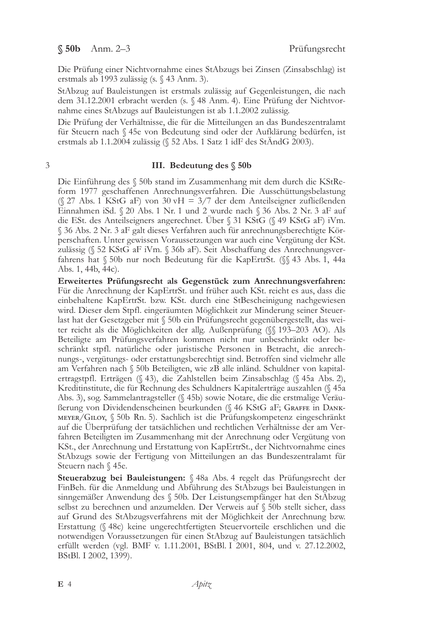Die Prüfung einer Nichtvornahme eines StAbzugs bei Zinsen (Zinsabschlag) ist erstmals ab 1993 zulässig (s. § 43 Anm. 3).

StAbzug auf Bauleistungen ist erstmals zulässig auf Gegenleistungen, die nach dem 31.12.2001 erbracht werden (s. § 48 Anm. 4). Eine Prüfung der Nichtvornahme eines StAbzugs auf Bauleistungen ist ab 1.1.2002 zulässig.

Die Prüfung der Verhältnisse, die für die Mitteilungen an das Bundeszentralamt für Steuern nach § 45e von Bedeutung sind oder der Aufklärung bedürfen, ist erstmals ab 1.1.2004 zulässig (§ 52 Abs. 1 Satz 1 idF des StÄndG 2003).

#### 3

#### III. Bedeutung des § 50b

Die Einführung des § 50b stand im Zusammenhang mit dem durch die KStReform 1977 geschaffenen Anrechnungsverfahren. Die Ausschüttungsbelastung (§ 27 Abs. 1 KStG aF) von 30 vH = 3/7 der dem Anteilseigner zufließenden Einnahmen iSd. § 20 Abs. 1 Nr. 1 und 2 wurde nach § 36 Abs. 2 Nr. 3 aF auf die ESt. des Anteilseigners angerechnet. Über § 31 KStG (§ 49 KStG aF) iVm. § 36 Abs. 2 Nr. 3 aF galt dieses Verfahren auch für anrechnungsberechtigte Körperschaften. Unter gewissen Voraussetzungen war auch eine Vergütung der KSt. zulässig (§ 52 KStG aF iVm. § 36b aF). Seit Abschaffung des Anrechnungsverfahrens hat § 50b nur noch Bedeutung für die KapErtrSt. (§§ 43 Abs. 1, 44a Abs. 1, 44b, 44c).

Erweitertes Prüfungsrecht als Gegenstück zum Anrechnungsverfahren: Für die Anrechnung der KapErtrSt. und früher auch KSt. reicht es aus, dass die einbehaltene KapErtrSt. bzw. KSt. durch eine StBescheinigung nachgewiesen wird. Dieser dem Stpfl. eingeräumten Möglichkeit zur Minderung seiner Steuerlast hat der Gesetzgeber mit § 50b ein Prüfungsrecht gegenübergestellt, das weiter reicht als die Möglichkeiten der allg. Außenprüfung (§§ 193–203 AO). Als Beteiligte am Prüfungsverfahren kommen nicht nur unbeschränkt oder beschränkt stpfl. natürliche oder juristische Personen in Betracht, die anrechnungs-, vergütungs- oder erstattungsberechtigt sind. Betroffen sind vielmehr alle am Verfahren nach § 50b Beteiligten, wie zB alle inländ. Schuldner von kapitalertragstpfl. Erträgen (§ 43), die Zahlstellen beim Zinsabschlag (§ 45a Abs. 2), Kreditinstitute, die für Rechnung des Schuldners Kapitalerträge auszahlen (§ 45a Abs. 3), sog. Sammelantragsteller (§ 45b) sowie Notare, die die erstmalige Veräu-Berung von Dividendenscheinen beurkunden (§ 46 KStG aF; GRAFFE in DANK-MEYER/GILOY, § 50b Rn. 5). Sachlich ist die Prüfungskompetenz eingeschränkt auf die Uberprüfung der tatsächlichen und rechtlichen Verhältnisse der am Verfahren Beteiligten im Zusammenhang mit der Anrechnung oder Vergütung von KSt., der Anrechnung und Erstattung von KapErtrSt., der Nichtvornahme eines StAbzugs sowie der Fertigung von Mitteilungen an das Bundeszentralamt für Steuern nach § 45e.

Steuerabzug bei Bauleistungen: § 48a Abs. 4 regelt das Prüfungsrecht der FinBeh. für die Anmeldung und Abführung des StAbzugs bei Bauleistungen in sinngemäßer Anwendung des § 50b. Der Leistungsempfänger hat den StAbzug selbst zu berechnen und anzumelden. Der Verweis auf § 50b stellt sicher, dass auf Grund des StAbzugsverfahrens mit der Möglichkeit der Anrechnung bzw. Erstattung (§ 48c) keine ungerechtfertigten Steuervorteile erschlichen und die notwendigen Voraussetzungen für einen StAbzug auf Bauleistungen tatsächlich erfüllt werden (vgl. BMF v. 1.11.2001, BStBl. I 2001, 804, und v. 27.12.2002, BStBl. I 2002, 1399).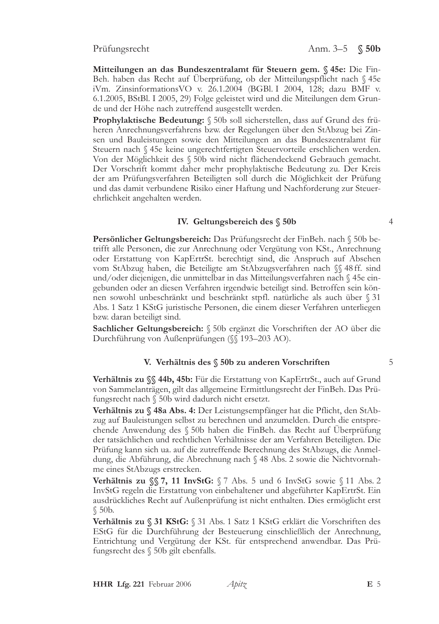Prüfungsrecht

Mitteilungen an das Bundeszentralamt für Steuern gem. § 45e: Die Fin-Beh. haben das Recht auf Überprüfung, ob der Mitteilungspflicht nach § 45e iVm. Zinsinformations VO v. 26.1.2004 (BGBl. I 2004, 128; dazu BMF v. 6.1.2005, BStBl. I 2005, 29) Folge geleistet wird und die Miteilungen dem Grunde und der Höhe nach zutreffend ausgestellt werden.

Prophylaktische Bedeutung: § 50b soll sicherstellen, dass auf Grund des früheren Anrechnungsverfahrens bzw. der Regelungen über den StAbzug bei Zinsen und Bauleistungen sowie den Mitteilungen an das Bundeszentralamt für Steuern nach § 45e keine ungerechtfertigten Steuervorteile erschlichen werden. Von der Möglichkeit des § 50b wird nicht flächendeckend Gebrauch gemacht. Der Vorschrift kommt daher mehr prophylaktische Bedeutung zu. Der Kreis der am Prüfungsverfahren Beteiligten soll durch die Möglichkeit der Prüfung und das damit verbundene Risiko einer Haftung und Nachforderung zur Steuerehrlichkeit angehalten werden.

#### IV. Geltungsbereich des § 50b

Persönlicher Geltungsbereich: Das Prüfungsrecht der FinBeh. nach § 50b betrifft alle Personen, die zur Anrechnung oder Vergütung von KSt., Anrechnung oder Erstattung von KapErtrSt. berechtigt sind, die Anspruch auf Absehen vom StAbzug haben, die Beteiligte am StAbzugsverfahren nach §§48ff. sind und/oder diejenigen, die unmittelbar in das Mitteilungsverfahren nach § 45e eingebunden oder an diesen Verfahren irgendwie beteiligt sind. Betroffen sein können sowohl unbeschränkt und beschränkt stpfl. natürliche als auch über § 31 Abs. 1 Satz 1 KStG juristische Personen, die einem dieser Verfahren unterliegen bzw. daran beteiligt sind.

Sachlicher Geltungsbereich: § 50b ergänzt die Vorschriften der AO über die Durchführung von Außenprüfungen (∬193–203 AO).

#### V. Verhältnis des § 50b zu anderen Vorschriften

Verhältnis zu SS 44b, 45b: Für die Erstattung von KapErtrSt., auch auf Grund von Sammelanträgen, gilt das allgemeine Ermittlungsrecht der FinBeh. Das Prüfungsrecht nach § 50b wird dadurch nicht ersetzt.

Verhältnis zu § 48a Abs. 4: Der Leistungsempfänger hat die Pflicht, den StAbzug auf Bauleistungen selbst zu berechnen und anzumelden. Durch die entsprechende Anwendung des § 50b haben die FinBeh. das Recht auf Uberprüfung der tatsächlichen und rechtlichen Verhältnisse der am Verfahren Beteiligten. Die Prüfung kann sich ua. auf die zutreffende Berechnung des StAbzugs, die Anmeldung, die Abführung, die Abrechnung nach § 48 Abs. 2 sowie die Nichtvornahme eines StAbzugs erstrecken.

**Verhältnis zu**  $\S$  **7, 11 InvStG:**  $\S$  7 Abs. 5 und 6 InvStG sowie  $\S$  11 Abs. 2 InvStG regeln die Erstattung von einbehaltener und abgeführter KapErtrSt. Ein ausdrückliches Recht auf Außenprüfung ist nicht enthalten. Dies ermöglicht erst  $$50<sub>b</sub>$ .

Verhältnis zu § 31 KStG: § 31 Abs. 1 Satz 1 KStG erklärt die Vorschriften des EStG für die Durchführung der Besteuerung einschließlich der Anrechnung, Entrichtung und Vergütung der KSt. für entsprechend anwendbar. Das Prüfungsrecht des § 50b gilt ebenfalls.

5

 $\overline{4}$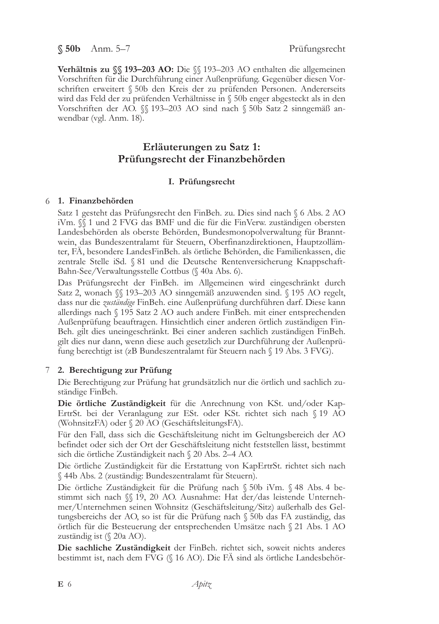§ 50b Anm. 5-7

Verhältnis zu SS 193-203 AO: Die SS 193-203 AO enthalten die allgemeinen Vorschriften für die Durchführung einer Außenprüfung. Gegenüber diesen Vorschriften erweitert § 50b den Kreis der zu prüfenden Personen. Andererseits wird das Feld der zu prüfenden Verhältnisse in § 50b enger abgesteckt als in den Vorschriften der AO. SS 193-203 AO sind nach § 50b Satz 2 sinngemäß anwendbar (vgl. Anm. 18).

# Erläuterungen zu Satz 1: Prüfungsrecht der Finanzbehörden

## I. Prüfungsrecht

### 6 1. Finanzbehörden

Satz 1 gesteht das Prüfungsrecht den FinBeh. zu. Dies sind nach § 6 Abs. 2 AO iVm.  $\frac{1}{3}$  1 und 2 FVG das BMF und die für die FinVerw. zuständigen obersten Landesbehörden als oberste Behörden, Bundesmonopolverwaltung für Branntwein, das Bundeszentralamt für Steuern, Oberfinanzdirektionen, Hauptzollämter, FÄ, besondere LandesFinBeh. als örtliche Behörden, die Familienkassen, die zentrale Stelle iSd. § 81 und die Deutsche Rentenversicherung Knappschaft-Bahn-See/Verwaltungsstelle Cottbus (§ 40a Abs. 6).

Das Prüfungsrecht der FinBeh. im Allgemeinen wird eingeschränkt durch Satz 2, wonach  $\{\$  193–203 AO sinngemäß anzuwenden sind.  $\{$  195 AO regelt, dass nur die zuständige FinBeh. eine Außenprüfung durchführen darf. Diese kann allerdings nach § 195 Satz 2 AO auch andere FinBeh. mit einer entsprechenden Außenprüfung beauftragen. Hinsichtlich einer anderen örtlich zuständigen Fin-Beh. gilt dies uneingeschränkt. Bei einer anderen sachlich zuständigen FinBeh. gilt dies nur dann, wenn diese auch gesetzlich zur Durchführung der Außenprüfung berechtigt ist (zB Bundeszentralamt für Steuern nach § 19 Abs. 3 FVG).

## 7 2. Berechtigung zur Prüfung

Die Berechtigung zur Prüfung hat grundsätzlich nur die örtlich und sachlich zuständige FinBeh.

Die örtliche Zuständigkeit für die Anrechnung von KSt. und/oder Kap-ErtrSt. bei der Veranlagung zur ESt. oder KSt. richtet sich nach § 19 AO (WohnsitzFA) oder § 20 AO (GeschäftsleitungsFA).

Für den Fall, dass sich die Geschäftsleitung nicht im Geltungsbereich der AO befindet oder sich der Ort der Geschäftsleitung nicht feststellen lässt, bestimmt sich die örtliche Zuständigkeit nach § 20 Abs. 2-4 AO.

Die örtliche Zuständigkeit für die Erstattung von KapErtrSt. richtet sich nach § 44b Abs. 2 (zuständig: Bundeszentralamt für Steuern).

Die örtliche Zuständigkeit für die Prüfung nach § 50b iVm. § 48 Abs. 4 bestimmt sich nach §§ 19, 20 AO. Ausnahme: Hat der/das leistende Unternehmer/Unternehmen seinen Wohnsitz (Geschäftsleitung/Sitz) außerhalb des Geltungsbereichs der AO, so ist für die Prüfung nach § 50b das FA zuständig, das örtlich für die Besteuerung der entsprechenden Umsätze nach § 21 Abs. 1 AO zuständig ist  $(\S$  20a AO).

Die sachliche Zuständigkeit der FinBeh. richtet sich, soweit nichts anderes bestimmt ist, nach dem FVG (§ 16 AO). Die FA sind als örtliche Landesbehör-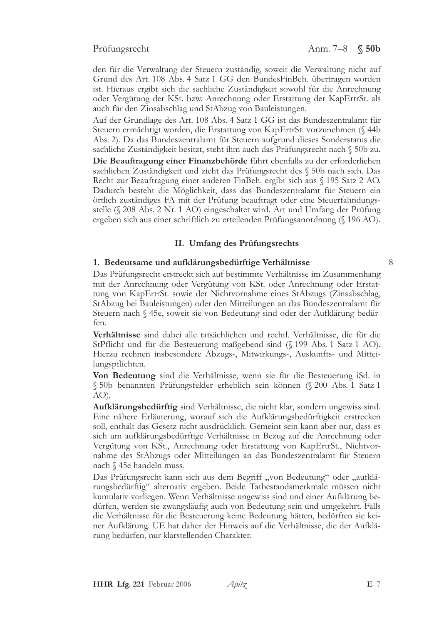#### Prüfungsrecht

den für die Verwaltung der Steuern zuständig, soweit die Verwaltung nicht auf Grund des Art. 108 Abs. 4 Satz 1 GG den BundesFinBeh. übertragen worden ist. Hieraus ergibt sich die sachliche Zuständigkeit sowohl für die Anrechnung oder Vergütung der KSt. bzw. Anrechnung oder Erstattung der KapErtrSt. als auch für den Zinsabschlag und StAbzug von Bauleistungen.

Auf der Grundlage des Art. 108 Abs. 4 Satz 1 GG ist das Bundeszentralamt für Steuern ermächtigt worden, die Erstattung von KapErtrSt. vorzunehmen (§ 44b Abs. 2). Da das Bundeszentralamt für Steuern aufgrund dieses Sonderstatus die sachliche Zuständigkeit besitzt, steht ihm auch das Prüfungsrecht nach § 50b zu.

Die Beauftragung einer Finanzbehörde führt ebenfalls zu der erforderlichen sachlichen Zuständigkeit und zieht das Prüfungsrecht des § 50b nach sich. Das Recht zur Beauftragung einer anderen FinBeh. ergibt sich aus § 195 Satz 2 AO. Dadurch besteht die Möglichkeit, dass das Bundeszentralamt für Steuern ein örtlich zuständiges FA mit der Prüfung beauftragt oder eine Steuerfahndungsstelle (§ 208 Abs. 2 Nr. 1 AO) eingeschaltet wird. Art und Umfang der Prüfung ergeben sich aus einer schriftlich zu erteilenden Prüfungsanordnung (§ 196 AO).

#### II. Umfang des Prüfungsrechts

#### 1. Bedeutsame und aufklärungsbedürftige Verhältnisse

Das Prüfungsrecht erstreckt sich auf bestimmte Verhältnisse im Zusammenhang mit der Anrechnung oder Vergütung von KSt. oder Anrechnung oder Erstattung von KapErtrSt. sowie der Nichtvornahme eines StAbzugs (Zinsabschlag, StAbzug bei Bauleistungen) oder den Mitteilungen an das Bundeszentralamt für Steuern nach § 45e, soweit sie von Bedeutung sind oder der Aufklärung bedürfen.

**Verhältnisse** sind dabei alle tatsächlichen und rechtl. Verhältnisse, die für die StPflicht und für die Besteuerung maßgebend sind (§ 199 Abs. 1 Satz 1 AO). Hierzu rechnen insbesondere Abzugs-, Mitwirkungs-, Auskunfts- und Mitteilungspflichten.

Von Bedeutung sind die Verhältnisse, wenn sie für die Besteuerung iSd. in § 50b benannten Prüfungsfelder erheblich sein können (§ 200 Abs. 1 Satz 1  $AO$ ).

Aufklärungsbedürftig sind Verhältnisse, die nicht klar, sondern ungewiss sind. Eine nähere Erläuterung, worauf sich die Aufklärungsbedürftigkeit erstrecken soll, enthält das Gesetz nicht ausdrücklich. Gemeint sein kann aber nur, dass es sich um aufklärungsbedürftige Verhältnisse in Bezug auf die Anrechnung oder Vergütung von KSt., Anrechnung oder Erstattung von KapErtrSt., Nichtvornahme des StAbzugs oder Mitteilungen an das Bundeszentralamt für Steuern nach § 45e handeln muss.

Das Prüfungsrecht kann sich aus dem Begriff "von Bedeutung" oder "aufklärungsbedürftig" alternativ ergeben. Beide Tatbestandsmerkmale müssen nicht kumulativ vorliegen. Wenn Verhältnisse ungewiss sind und einer Aufklärung bedürfen, werden sie zwangsläufig auch von Bedeutung sein und umgekehrt. Falls die Verhältnisse für die Besteuerung keine Bedeutung hätten, bedürften sie keiner Aufklärung. UE hat daher der Hinweis auf die Verhältnisse, die der Aufklärung bedürfen, nur klarstellenden Charakter.

 $\mathsf{R}$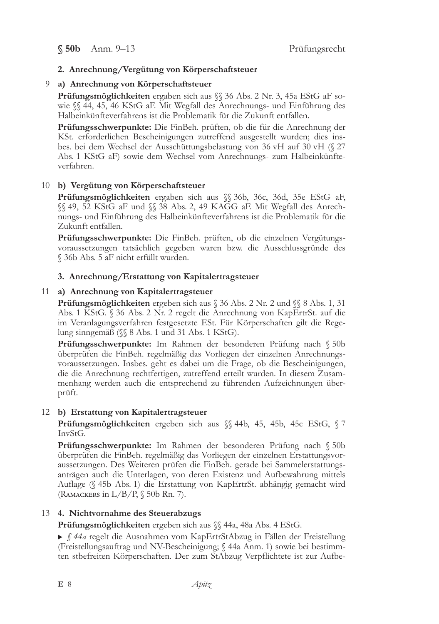## 2. Anrechnung/Vergütung von Körperschaftsteuer

### 9 a) Anrechnung von Körperschaftsteuer

Prüfungsmöglichkeiten ergaben sich aus SS 36 Abs. 2 Nr. 3, 45a EStG aF sowie  $\%$  44, 45, 46 KStG aF. Mit Wegfall des Anrechnungs- und Einführung des Halbeinkünfteverfahrens ist die Problematik für die Zukunft entfallen.

Prüfungsschwerpunkte: Die FinBeh. prüften, ob die für die Anrechnung der KSt. erforderlichen Bescheinigungen zutreffend ausgestellt wurden; dies insbes. bei dem Wechsel der Ausschüttungsbelastung von 36 vH auf 30 vH (§ 27 Abs. 1 KStG aF) sowie dem Wechsel vom Anrechnungs- zum Halbeinkünfteverfahren.

## 10 b) Vergütung von Körperschaftsteuer

Prüfungsmöglichkeiten ergaben sich aus § 36b, 36c, 36d, 35e EStG aF, §§ 49, 52 KStG aF und §§ 38 Abs. 2, 49 KAGG aF. Mit Wegfall des Anrechnungs- und Einführung des Halbeinkünfteverfahrens ist die Problematik für die Zukunft entfallen.

**Prüfungsschwerpunkte:** Die FinBeh. prüften, ob die einzelnen Vergütungsvoraussetzungen tatsächlich gegeben waren bzw. die Ausschlussgründe des § 36b Abs. 5 aF nicht erfüllt wurden.

## 3. Anrechnung/Erstattung von Kapitalertragsteuer

## 11 a) Anrechnung von Kapitalertragsteuer

**Prüfungsmöglichkeiten** ergeben sich aus  $\%$  36 Abs. 2 Nr. 2 und  $\%$  8 Abs. 1, 31 Abs. 1 KStG. § 36 Abs. 2 Nr. 2 regelt die Anrechnung von KapErtrSt. auf die im Veranlagungsverfahren festgesetzte ESt. Für Körperschaften gilt die Regelung sinngemäß ( $\$  8 Abs. 1 und 31 Abs. 1 KStG).

Prüfungsschwerpunkte: Im Rahmen der besonderen Prüfung nach § 50b überprüfen die FinBeh. regelmäßig das Vorliegen der einzelnen Anrechnungsvoraussetzungen. Insbes. geht es dabei um die Frage, ob die Bescheinigungen, die die Anrechnung rechtfertigen, zutreffend erteilt wurden. In diesem Zusammenhang werden auch die entsprechend zu führenden Aufzeichnungen überprüft.

## 12 b) Erstattung von Kapitalertragsteuer

Prüfungsmöglichkeiten ergeben sich aus  $\S$  44b, 45, 45b, 45c EStG,  $\S$  7 InvStG.

Prüfungsschwerpunkte: Im Rahmen der besonderen Prüfung nach § 50b überprüfen die FinBeh. regelmäßig das Vorliegen der einzelnen Erstattungsvoraussetzungen. Des Weiteren prüfen die FinBeh. gerade bei Sammelerstattungsanträgen auch die Unterlagen, von deren Existenz und Aufbewahrung mittels Auflage (§ 45b Abs. 1) die Erstattung von KapErtrSt. abhängig gemacht wird (RAMACKERS in  $L/B/P$ ,  $$50b$  Rn. 7).

## 13 4. Nichtvornahme des Steuerabzugs

Prüfungsmöglichkeiten ergeben sich aus §§ 44a, 48a Abs. 4 EStG.

▶ § 44a regelt die Ausnahmen vom KapErtrStAbzug in Fällen der Freistellung (Freistellungsauftrag und NV-Bescheinigung; § 44a Anm. 1) sowie bei bestimmten stbefreiten Körperschaften. Der zum StAbzug Verpflichtete ist zur Aufbe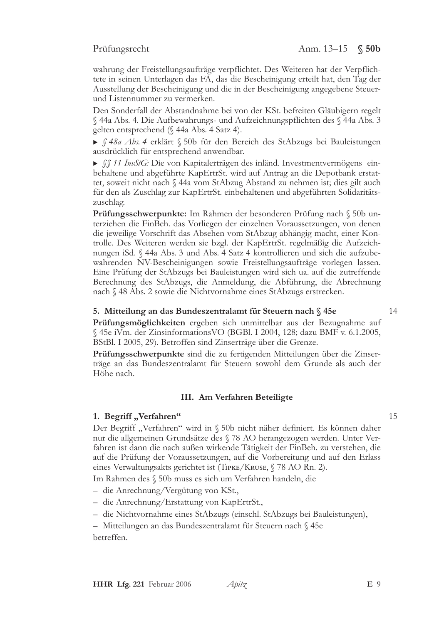wahrung der Freistellungsaufträge verpflichtet. Des Weiteren hat der Verpflichtete in seinen Unterlagen das FA, das die Bescheinigung erteilt hat, den Tag der Ausstellung der Bescheinigung und die in der Bescheinigung angegebene Steuerund Listennummer zu vermerken.

Den Sonderfall der Abstandnahme bei von der KSt. befreiten Gläubigern regelt § 44a Abs. 4. Die Aufbewahrungs- und Aufzeichnungspflichten des § 44a Abs. 3 gelten entsprechend (§ 44a Abs. 4 Satz 4).

▶ § 48a Abs. 4 erklärt § 50b für den Bereich des StAbzugs bei Bauleistungen ausdrücklich für entsprechend anwendbar.

• ff 11 InvStG: Die von Kapitalerträgen des inländ. Investmentvermögens einbehaltene und abgeführte KapErtrSt. wird auf Antrag an die Depotbank erstattet, soweit nicht nach § 44a vom StAbzug Abstand zu nehmen ist; dies gilt auch für den als Zuschlag zur KapErtrSt. einbehaltenen und abgeführten Solidaritätszuschlag.

Prüfungsschwerpunkte: Im Rahmen der besonderen Prüfung nach § 50b unterziehen die FinBeh. das Vorliegen der einzelnen Voraussetzungen, von denen die jeweilige Vorschrift das Absehen vom StAbzug abhängig macht, einer Kontrolle. Des Weiteren werden sie bzgl. der KapErtrSt. regelmäßig die Aufzeichnungen iSd. § 44a Abs. 3 und Abs. 4 Satz 4 kontrollieren und sich die aufzubewahrenden NV-Bescheinigungen sowie Freistellungsaufträge vorlegen lassen. Eine Prüfung der StAbzugs bei Bauleistungen wird sich ua. auf die zutreffende Berechnung des StAbzugs, die Anmeldung, die Abführung, die Abrechnung nach § 48 Abs. 2 sowie die Nichtvornahme eines StAbzugs erstrecken.

### 5. Mitteilung an das Bundeszentralamt für Steuern nach § 45e

Prüfungsmöglichkeiten ergeben sich unmittelbar aus der Bezugnahme auf § 45e iVm. der Zinsinformations VO (BGBl. I 2004, 128; dazu BMF v. 6.1.2005, BStBl. I 2005, 29). Betroffen sind Zinserträge über die Grenze.

Prüfungsschwerpunkte sind die zu fertigenden Mitteilungen über die Zinserträge an das Bundeszentralamt für Steuern sowohl dem Grunde als auch der Höhe nach.

## III. Am Verfahren Beteiligte

#### 1. Begriff "Verfahren"

Der Begriff "Verfahren" wird in § 50b nicht näher definiert. Es können daher nur die allgemeinen Grundsätze des § 78 AO herangezogen werden. Unter Verfahren ist dann die nach außen wirkende Tätigkeit der FinBeh. zu verstehen, die auf die Prüfung der Voraussetzungen, auf die Vorbereitung und auf den Erlass eines Verwaltungsakts gerichtet ist (TIPKE/KRUSE, § 78 AO Rn. 2).

Im Rahmen des § 50b muss es sich um Verfahren handeln, die

- die Anrechnung/Vergütung von KSt.,
- die Anrechnung/Erstattung von KapErtrSt.,
- die Nichtvornahme eines StAbzugs (einschl. StAbzugs bei Bauleistungen),

- Mitteilungen an das Bundeszentralamt für Steuern nach § 45e betreffen.

 $14$ 

 $15$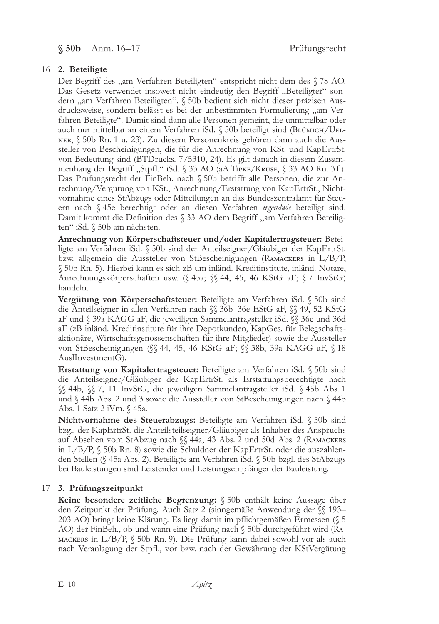$$50b$  Anm. 16-17

## 16 2. Beteiligte

Der Begriff des "am Verfahren Beteiligten" entspricht nicht dem des § 78 AO. Das Gesetz verwendet insoweit nicht eindeutig den Begriff "Beteiligter" sondern "am Verfahren Beteiligten". § 50b bedient sich nicht dieser präzisen Ausdrucksweise, sondern belässt es bei der unbestimmten Formulierung "am Verfahren Beteiligte". Damit sind dann alle Personen gemeint, die unmittelbar oder auch nur mittelbar an einem Verfahren iSd. § 50b beteiligt sind (Выймісн/UEL-NER, § 50b Rn. 1 u. 23). Zu diesem Personenkreis gehören dann auch die Aussteller von Bescheinigungen, die für die Anrechnung von KSt. und KapErtrSt. von Bedeutung sind (BTDrucks. 7/5310, 24). Es gilt danach in diesem Zusammenhang der Begriff "Stpfl." iSd. § 33 AO (aA TIPKE/KRUSE, § 33 AO Rn. 3 f.). Das Prüfungsrecht der FinBeh. nach § 50b betrifft alle Personen, die zur Anrechnung/Vergütung von KSt., Anrechnung/Erstattung von KapErtrSt., Nichtvornahme eines StAbzugs oder Mitteilungen an das Bundeszentralamt für Steuern nach § 45e berechtigt oder an diesen Verfahren irgendwie beteiligt sind. Damit kommt die Definition des § 33 AO dem Begriff "am Verfahren Beteiligten" iSd. § 50b am nächsten.

Anrechnung von Körperschaftsteuer und/oder Kapitalertragsteuer: Beteiligte am Verfahren iSd. § 50b sind der Anteilseigner/Gläubiger der KapErtrSt. bzw. allgemein die Aussteller von StBescheinigungen (RAMACKERS in L/B/P, § 50b Rn. 5). Hierbei kann es sich zB um inländ. Kreditinstitute, inländ. Notare, Anrechnungskörperschaften usw. (§ 45a; §§ 44, 45, 46 KStG aF; § 7 InvStG) handeln.

Vergütung von Körperschaftsteuer: Beteiligte am Verfahren iSd. § 50b sind die Anteilseigner in allen Verfahren nach SS 36b-36e EStG aF, SS 49, 52 KStG aF und § 39a KAGG aF, die jeweiligen Sammelantragsteller iSd. §§ 36c und 36d aF (zB inländ. Kreditinstitute für ihre Depotkunden, KapGes. für Belegschaftsaktionäre, Wirtschaftsgenossenschaften für ihre Mitglieder) sowie die Aussteller von StBescheinigungen (§ 44, 45, 46 KStG aF; § 38b, 39a KAGG aF, § 18 AuslInvestmentG).

Erstattung von Kapitalertragsteuer: Beteiligte am Verfahren iSd. § 50b sind die Anteilseigner/Gläubiger der KapErtrSt. als Erstattungsberechtigte nach §§ 44b, §§ 7, 11 InvStG, die jeweiligen Sammelantragsteller iSd. § 45b Abs. 1 und § 44b Abs. 2 und 3 sowie die Aussteller von StBescheinigungen nach § 44b Abs. 1 Satz 2 iVm. § 45a.

Nichtvornahme des Steuerabzugs: Beteiligte am Verfahren iSd. § 50b sind bzgl. der KapErtrSt. die Anteilsteilseigner/Gläubiger als Inhaber des Anspruchs auf Absehen vom StAbzug nach ∬ 44a, 43 Abs. 2 und 50d Abs. 2 (Rамаскекs in L/B/P, § 50b Rn. 8) sowie die Schuldner der KapErtrSt. oder die auszahlenden Stellen (§ 45a Abs. 2). Beteiligte am Verfahren iSd. § 50b bzgl. des StAbzugs bei Bauleistungen sind Leistender und Leistungsempfänger der Bauleistung.

## 17 3. Prüfungszeitpunkt

Keine besondere zeitliche Begrenzung: § 50b enthält keine Aussage über den Zeitpunkt der Prüfung. Auch Satz 2 (sinngemäße Anwendung der §§ 193-203 AO) bringt keine Klärung. Es liegt damit im pflichtgemäßen Ermessen (§ 5 AO) der FinBeh., ob und wann eine Prüfung nach § 50b durchgeführt wird (RA-MACKERS in L/B/P,  $\S$  50b Rn. 9). Die Prüfung kann dabei sowohl vor als auch nach Veranlagung der Stpfl., vor bzw. nach der Gewährung der KStVergütung